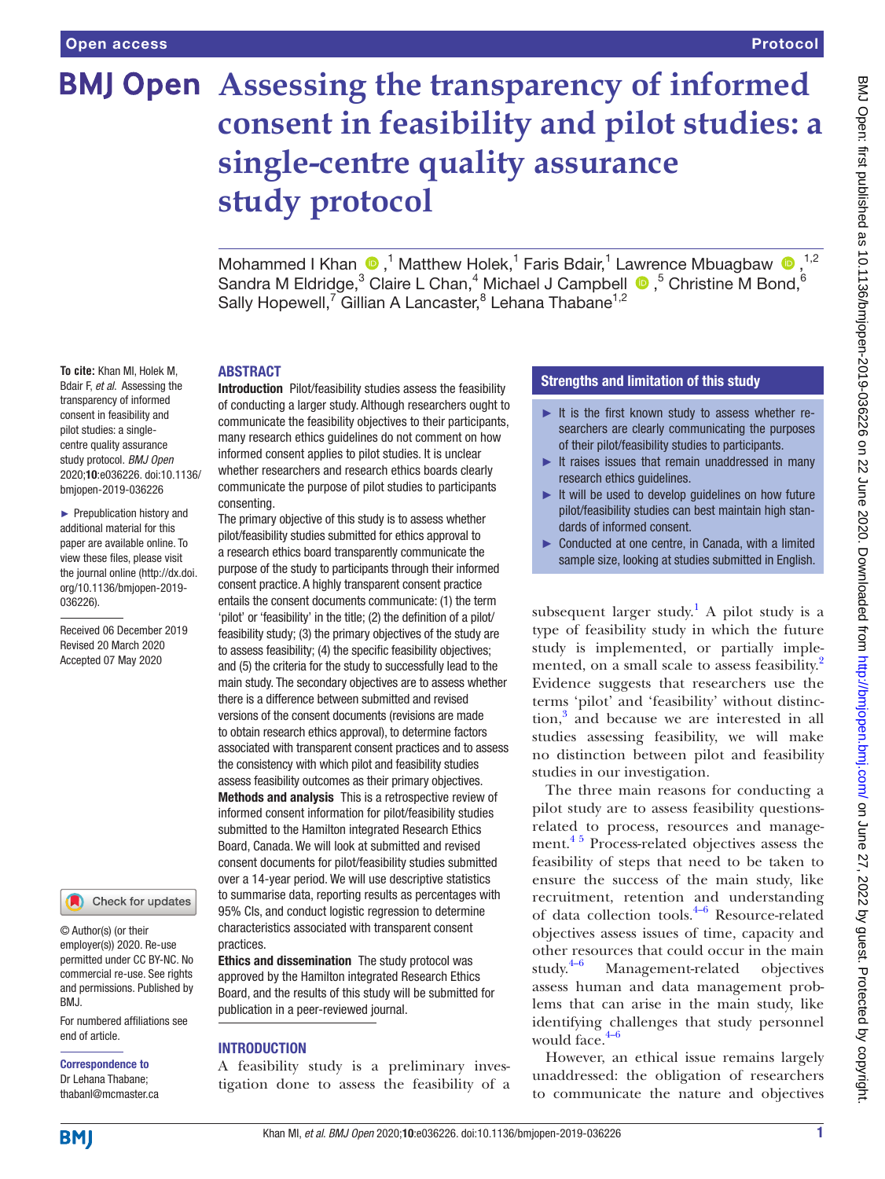**To cite:** Khan MI, Holek M, Bdair F, *et al*. Assessing the transparency of informed consent in feasibility and pilot studies: a singlecentre quality assurance study protocol. *BMJ Open* 2020;10:e036226. doi:10.1136/ bmjopen-2019-036226 ► Prepublication history and additional material for this paper are available online. To view these files, please visit the journal online (http://dx.doi. org/10.1136/bmjopen-2019-

036226).

Received 06 December 2019 Revised 20 March 2020 Accepted 07 May 2020

# **BMJ Open** Assessing the transparency of informed **consent in feasibility and pilot studies: a single-centre quality assurance study protocol**

MohammedI Khan  $\bigcirc$ ,<sup>1</sup> Matthew Holek,<sup>1</sup> Faris Bdair,<sup>1</sup> Lawrence Mbuagbaw  $\bigcirc$ ,<sup>1,2</sup> SandraM Eldridge,<sup>3</sup> Claire L Chan,<sup>4</sup> Michael J Campbell  $\bullet$ ,<sup>5</sup> Christine M Bond,<sup>6</sup> Sally Hopewell,<sup>7</sup> Gillian A Lancaster,<sup>8</sup> Lehana Thabane<sup>1,2</sup>

#### **ABSTRACT**

Introduction Pilot/feasibility studies assess the feasibility of conducting a larger study. Although researchers ought to communicate the feasibility objectives to their participants, many research ethics guidelines do not comment on how informed consent applies to pilot studies. It is unclear whether researchers and research ethics boards clearly communicate the purpose of pilot studies to participants consenting.

The primary objective of this study is to assess whether pilot/feasibility studies submitted for ethics approval to a research ethics board transparently communicate the purpose of the study to participants through their informed consent practice. A highly transparent consent practice entails the consent documents communicate: (1) the term 'pilot' or 'feasibility' in the title; (2) the definition of a pilot/ feasibility study; (3) the primary objectives of the study are to assess feasibility; (4) the specific feasibility objectives; and (5) the criteria for the study to successfully lead to the main study. The secondary objectives are to assess whether there is a difference between submitted and revised versions of the consent documents (revisions are made to obtain research ethics approval), to determine factors associated with transparent consent practices and to assess the consistency with which pilot and feasibility studies assess feasibility outcomes as their primary objectives. Methods and analysis This is a retrospective review of informed consent information for pilot/feasibility studies submitted to the Hamilton integrated Research Ethics Board, Canada. We will look at submitted and revised consent documents for pilot/feasibility studies submitted over a 14-year period. We will use descriptive statistics to summarise data, reporting results as percentages with 95% CIs, and conduct logistic regression to determine characteristics associated with transparent consent practices.

Ethics and dissemination The study protocol was approved by the Hamilton integrated Research Ethics Board, and the results of this study will be submitted for publication in a peer-reviewed journal.

#### **INTRODUCTION**

A feasibility study is a preliminary investigation done to assess the feasibility of a

#### Strengths and limitation of this study

- $\blacktriangleright$  It is the first known study to assess whether researchers are clearly communicating the purposes of their pilot/feasibility studies to participants.
- $\blacktriangleright$  It raises issues that remain unaddressed in many research ethics guidelines.
- ► It will be used to develop guidelines on how future pilot/feasibility studies can best maintain high standards of informed consent.
- ► Conducted at one centre, in Canada, with a limited sample size, looking at studies submitted in English.

subsequent larger study.<sup>1</sup> A pilot study is a type of feasibility study in which the future study is implemented, or partially implemented, on a small scale to assess feasibility.<sup>2</sup> Evidence suggests that researchers use the terms 'pilot' and 'feasibility' without distinction,[3](#page-3-2) and because we are interested in all studies assessing feasibility, we will make no distinction between pilot and feasibility studies in our investigation.

The three main reasons for conducting a pilot study are to assess feasibility questionsrelated to process, resources and management.<sup>45</sup> Process-related objectives assess the feasibility of steps that need to be taken to ensure the success of the main study, like recruitment, retention and understanding of data collection tools.[4–6](#page-3-3) Resource-related objectives assess issues of time, capacity and other resources that could occur in the main study. $4-6$ Management-related objectives assess human and data management problems that can arise in the main study, like identifying challenges that study personnel would face. $4-6$ 

However, an ethical issue remains largely unaddressed: the obligation of researchers to communicate the nature and objectives

## **BMI**

end of article.

BMJ.

Correspondence to Dr Lehana Thabane; thabanl@mcmaster.ca

© Author(s) (or their employer(s)) 2020. Re-use permitted under CC BY-NC. No commercial re-use. See rights and permissions. Published by

For numbered affiliations see

Check for updates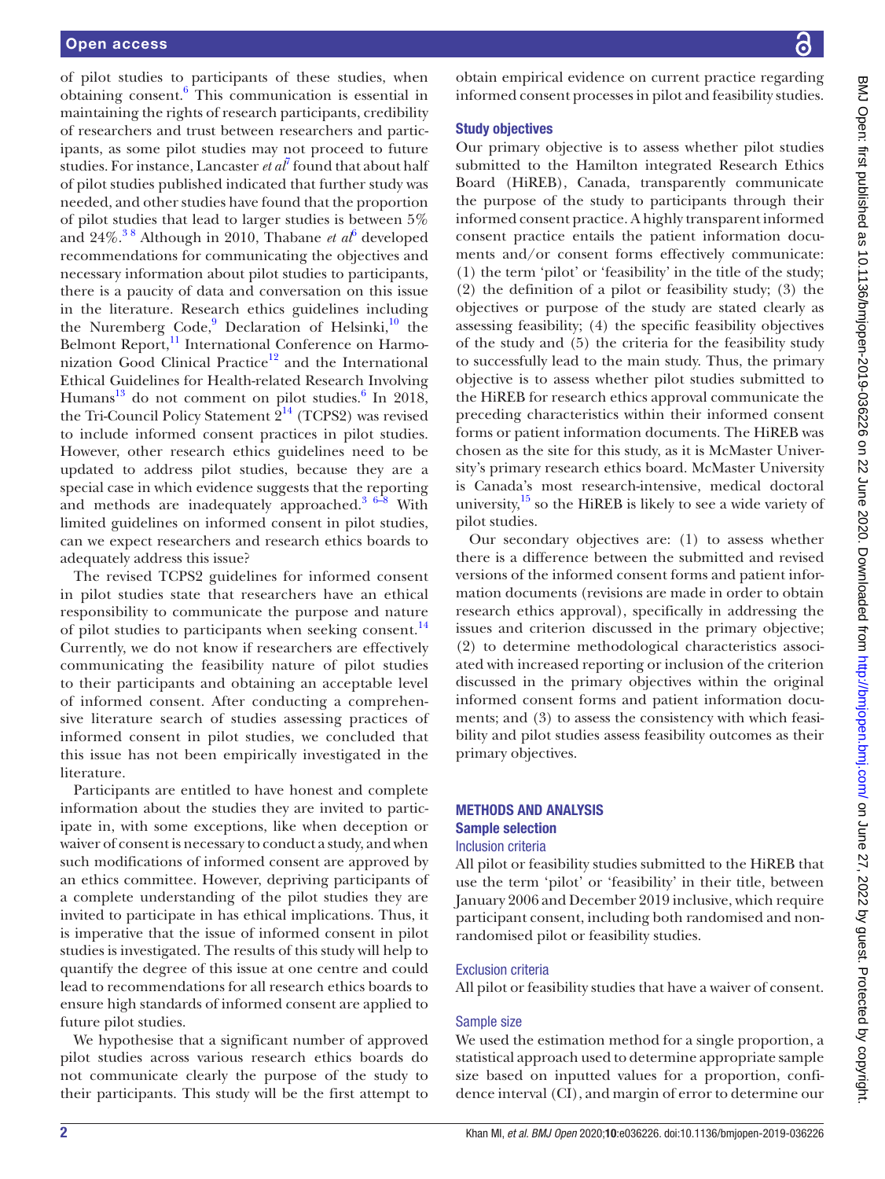of pilot studies to participants of these studies, when obtaining consent.<sup>6</sup> This communication is essential in maintaining the rights of research participants, credibility of researchers and trust between researchers and participants, as some pilot studies may not proceed to future studies. For instance, Lancaster *et al*<sup>[7](#page-3-5)</sup> found that about half of pilot studies published indicated that further study was needed, and other studies have found that the proportion of pilot studies that lead to larger studies is between 5% and  $24\%$ .<sup>38</sup> Although in 2010, Thabane *et a*<sup> $6$ </sup> developed recommendations for communicating the objectives and necessary information about pilot studies to participants, there is a paucity of data and conversation on this issue in the literature. Research ethics guidelines including the Nuremberg Code,<sup>[9](#page-3-6)</sup> Declaration of Helsinki,<sup>10</sup> the Belmont Report,<sup>11</sup> International Conference on Harmonization Good Clinical Practice<sup>12</sup> and the International Ethical Guidelines for Health-related Research Involving Humans<sup>13</sup> do not comment on pilot studies.<sup>6</sup> In 2018, the Tri-Council Policy Statement  $2^{14}$  (TCPS2) was revised to include informed consent practices in pilot studies. However, other research ethics guidelines need to be updated to address pilot studies, because they are a special case in which evidence suggests that the reporting and methods are inadequately approached.<sup>3 6-8</sup> With limited guidelines on informed consent in pilot studies, can we expect researchers and research ethics boards to adequately address this issue?

The revised TCPS2 guidelines for informed consent in pilot studies state that researchers have an ethical responsibility to communicate the purpose and nature of pilot studies to participants when seeking consent.<sup>[14](#page-4-0)</sup> Currently, we do not know if researchers are effectively communicating the feasibility nature of pilot studies to their participants and obtaining an acceptable level of informed consent. After conducting a comprehensive literature search of studies assessing practices of informed consent in pilot studies, we concluded that this issue has not been empirically investigated in the literature.

Participants are entitled to have honest and complete information about the studies they are invited to participate in, with some exceptions, like when deception or waiver of consent is necessary to conduct a study, and when such modifications of informed consent are approved by an ethics committee. However, depriving participants of a complete understanding of the pilot studies they are invited to participate in has ethical implications. Thus, it is imperative that the issue of informed consent in pilot studies is investigated. The results of this study will help to quantify the degree of this issue at one centre and could lead to recommendations for all research ethics boards to ensure high standards of informed consent are applied to future pilot studies.

We hypothesise that a significant number of approved pilot studies across various research ethics boards do not communicate clearly the purpose of the study to their participants. This study will be the first attempt to

obtain empirical evidence on current practice regarding informed consent processes in pilot and feasibility studies.

#### Study objectives

Our primary objective is to assess whether pilot studies submitted to the Hamilton integrated Research Ethics Board (HiREB), Canada, transparently communicate the purpose of the study to participants through their informed consent practice. A highly transparent informed consent practice entails the patient information documents and/or consent forms effectively communicate: (1) the term 'pilot' or 'feasibility' in the title of the study; (2) the definition of a pilot or feasibility study; (3) the objectives or purpose of the study are stated clearly as assessing feasibility; (4) the specific feasibility objectives of the study and (5) the criteria for the feasibility study to successfully lead to the main study. Thus, the primary objective is to assess whether pilot studies submitted to the HiREB for research ethics approval communicate the preceding characteristics within their informed consent forms or patient information documents. The HiREB was chosen as the site for this study, as it is McMaster University's primary research ethics board. McMaster University is Canada's most research-intensive, medical doctoral university, $^{15}$  $^{15}$  $^{15}$  so the HiREB is likely to see a wide variety of pilot studies.

Our secondary objectives are: (1) to assess whether there is a difference between the submitted and revised versions of the informed consent forms and patient information documents (revisions are made in order to obtain research ethics approval), specifically in addressing the issues and criterion discussed in the primary objective; (2) to determine methodological characteristics associated with increased reporting or inclusion of the criterion discussed in the primary objectives within the original informed consent forms and patient information documents; and (3) to assess the consistency with which feasibility and pilot studies assess feasibility outcomes as their primary objectives.

## Methods and analysis Sample selection

#### Inclusion criteria

All pilot or feasibility studies submitted to the HiREB that use the term 'pilot' or 'feasibility' in their title, between January 2006 and December 2019 inclusive, which require participant consent, including both randomised and nonrandomised pilot or feasibility studies.

#### Exclusion criteria

All pilot or feasibility studies that have a waiver of consent.

#### Sample size

We used the estimation method for a single proportion, a statistical approach used to determine appropriate sample size based on inputted values for a proportion, confidence interval (CI), and margin of error to determine our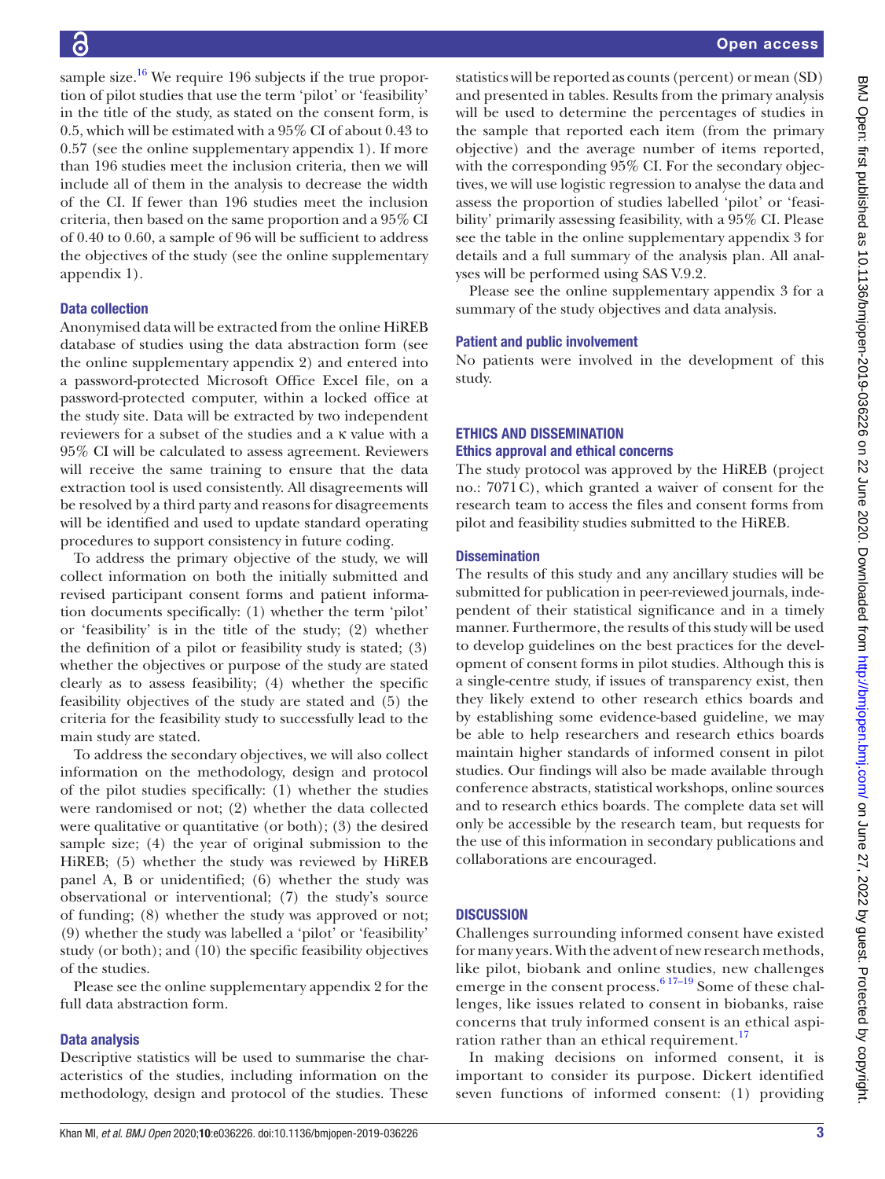sample size.<sup>16</sup> We require 196 subjects if the true proportion of pilot studies that use the term 'pilot' or 'feasibility' in the title of the study, as stated on the consent form, is 0.5, which will be estimated with a 95% CI of about 0.43 to 0.57 (see the [online supplementary appendix 1](https://dx.doi.org/10.1136/bmjopen-2019-036226)). If more than 196 studies meet the inclusion criteria, then we will include all of them in the analysis to decrease the width of the CI. If fewer than 196 studies meet the inclusion criteria, then based on the same proportion and a 95% CI of 0.40 to 0.60, a sample of 96 will be sufficient to address the objectives of the study (see the [online supplementary](https://dx.doi.org/10.1136/bmjopen-2019-036226) [appendix 1](https://dx.doi.org/10.1136/bmjopen-2019-036226)).

## Data collection

Anonymised data will be extracted from the online HiREB database of studies using the data abstraction form (see the [online supplementary appendix 2](https://dx.doi.org/10.1136/bmjopen-2019-036226)) and entered into a password-protected Microsoft Office Excel file, on a password-protected computer, within a locked office at the study site. Data will be extracted by two independent reviewers for a subset of the studies and a κ value with a 95% CI will be calculated to assess agreement. Reviewers will receive the same training to ensure that the data extraction tool is used consistently. All disagreements will be resolved by a third party and reasons for disagreements will be identified and used to update standard operating procedures to support consistency in future coding.

To address the primary objective of the study, we will collect information on both the initially submitted and revised participant consent forms and patient information documents specifically: (1) whether the term 'pilot' or 'feasibility' is in the title of the study; (2) whether the definition of a pilot or feasibility study is stated; (3) whether the objectives or purpose of the study are stated clearly as to assess feasibility; (4) whether the specific feasibility objectives of the study are stated and (5) the criteria for the feasibility study to successfully lead to the main study are stated.

To address the secondary objectives, we will also collect information on the methodology, design and protocol of the pilot studies specifically: (1) whether the studies were randomised or not; (2) whether the data collected were qualitative or quantitative (or both); (3) the desired sample size; (4) the year of original submission to the HiREB; (5) whether the study was reviewed by HiREB panel A, B or unidentified; (6) whether the study was observational or interventional; (7) the study's source of funding; (8) whether the study was approved or not; (9) whether the study was labelled a 'pilot' or 'feasibility' study (or both); and (10) the specific feasibility objectives of the studies.

Please see the [online supplementary appendix 2](https://dx.doi.org/10.1136/bmjopen-2019-036226) for the full data abstraction form.

## Data analysis

Descriptive statistics will be used to summarise the characteristics of the studies, including information on the methodology, design and protocol of the studies. These

statistics will be reported as counts (percent) or mean (SD) and presented in tables. Results from the primary analysis will be used to determine the percentages of studies in the sample that reported each item (from the primary objective) and the average number of items reported, with the corresponding 95% CI. For the secondary objectives, we will use logistic regression to analyse the data and assess the proportion of studies labelled 'pilot' or 'feasibility' primarily assessing feasibility, with a 95% CI. Please see the table in the [online supplementary appendix 3](https://dx.doi.org/10.1136/bmjopen-2019-036226) for details and a full summary of the analysis plan. All analyses will be performed using SAS V.9.2.

Please see the [online supplementary appendix 3](https://dx.doi.org/10.1136/bmjopen-2019-036226) for a summary of the study objectives and data analysis.

## Patient and public involvement

No patients were involved in the development of this study.

## Ethics and dissemination Ethics approval and ethical concerns

The study protocol was approved by the HiREB (project no.: 7071C), which granted a waiver of consent for the research team to access the files and consent forms from pilot and feasibility studies submitted to the HiREB.

### **Dissemination**

The results of this study and any ancillary studies will be submitted for publication in peer-reviewed journals, independent of their statistical significance and in a timely manner. Furthermore, the results of this study will be used to develop guidelines on the best practices for the development of consent forms in pilot studies. Although this is a single-centre study, if issues of transparency exist, then they likely extend to other research ethics boards and by establishing some evidence-based guideline, we may be able to help researchers and research ethics boards maintain higher standards of informed consent in pilot studies. Our findings will also be made available through conference abstracts, statistical workshops, online sources and to research ethics boards. The complete data set will only be accessible by the research team, but requests for the use of this information in secondary publications and collaborations are encouraged.

## **DISCUSSION**

Challenges surrounding informed consent have existed for many years. With the advent of new research methods, like pilot, biobank and online studies, new challenges emerge in the consent process.<sup>6 17–19</sup> Some of these challenges, like issues related to consent in biobanks, raise concerns that truly informed consent is an ethical aspi-ration rather than an ethical requirement.<sup>[17](#page-4-3)</sup>

In making decisions on informed consent, it is important to consider its purpose. Dickert identified seven functions of informed consent: (1) providing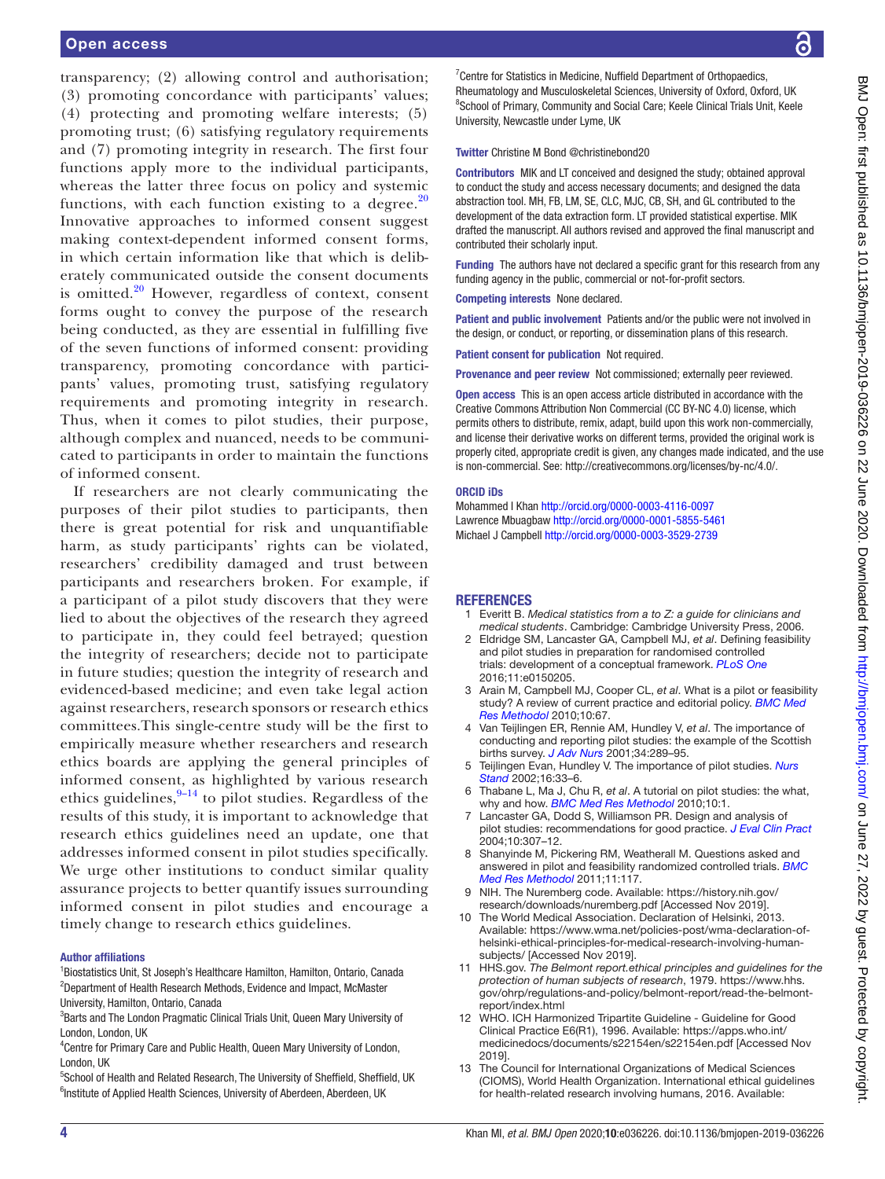transparency; (2) allowing control and authorisation; (3) promoting concordance with participants' values; (4) protecting and promoting welfare interests; (5) promoting trust; (6) satisfying regulatory requirements and (7) promoting integrity in research. The first four functions apply more to the individual participants, whereas the latter three focus on policy and systemic functions, with each function existing to a degree. $20$ Innovative approaches to informed consent suggest making context-dependent informed consent forms, in which certain information like that which is deliberately communicated outside the consent documents is omitted. $^{20}$  $^{20}$  $^{20}$  However, regardless of context, consent forms ought to convey the purpose of the research being conducted, as they are essential in fulfilling five of the seven functions of informed consent: providing transparency, promoting concordance with participants' values, promoting trust, satisfying regulatory requirements and promoting integrity in research. Thus, when it comes to pilot studies, their purpose, although complex and nuanced, needs to be communicated to participants in order to maintain the functions of informed consent.

If researchers are not clearly communicating the purposes of their pilot studies to participants, then there is great potential for risk and unquantifiable harm, as study participants' rights can be violated, researchers' credibility damaged and trust between participants and researchers broken. For example, if a participant of a pilot study discovers that they were lied to about the objectives of the research they agreed to participate in, they could feel betrayed; question the integrity of researchers; decide not to participate in future studies; question the integrity of research and evidenced-based medicine; and even take legal action against researchers, research sponsors or research ethics committees.This single-centre study will be the first to empirically measure whether researchers and research ethics boards are applying the general principles of informed consent, as highlighted by various research ethics guidelines,  $9-14$  to pilot studies. Regardless of the results of this study, it is important to acknowledge that research ethics guidelines need an update, one that addresses informed consent in pilot studies specifically. We urge other institutions to conduct similar quality assurance projects to better quantify issues surrounding informed consent in pilot studies and encourage a timely change to research ethics guidelines.

#### Author affiliations

<sup>1</sup>Biostatistics Unit, St Joseph's Healthcare Hamilton, Hamilton, Ontario, Canada <sup>2</sup>Department of Health Research Methods, Evidence and Impact, McMaster University, Hamilton, Ontario, Canada

<sup>3</sup>Barts and The London Pragmatic Clinical Trials Unit, Queen Mary University of London, London, UK

4 Centre for Primary Care and Public Health, Queen Mary University of London, London, UK

<sup>5</sup>School of Health and Related Research, The University of Sheffield, Sheffield, UK <sup>6</sup>Institute of Applied Health Sciences, University of Aberdeen, Aberdeen, UK

<sup>7</sup> Centre for Statistics in Medicine, Nuffield Department of Orthopaedics, Rheumatology and Musculoskeletal Sciences, University of Oxford, Oxford, UK <sup>8</sup>School of Primary, Community and Social Care; Keele Clinical Trials Unit, Keele University, Newcastle under Lyme, UK

#### Twitter Christine M Bond [@christinebond20](https://twitter.com/christinebond20)

Contributors MIK and LT conceived and designed the study; obtained approval to conduct the study and access necessary documents; and designed the data abstraction tool. MH, FB, LM, SE, CLC, MJC, CB, SH, and GL contributed to the development of the data extraction form. LT provided statistical expertise. MIK drafted the manuscript. All authors revised and approved the final manuscript and contributed their scholarly input.

Funding The authors have not declared a specific grant for this research from any funding agency in the public, commercial or not-for-profit sectors.

Competing interests None declared.

Patient and public involvement Patients and/or the public were not involved in the design, or conduct, or reporting, or dissemination plans of this research.

Patient consent for publication Not required.

Provenance and peer review Not commissioned; externally peer reviewed.

Open access This is an open access article distributed in accordance with the Creative Commons Attribution Non Commercial (CC BY-NC 4.0) license, which permits others to distribute, remix, adapt, build upon this work non-commercially, and license their derivative works on different terms, provided the original work is properly cited, appropriate credit is given, any changes made indicated, and the use is non-commercial. See: [http://creativecommons.org/licenses/by-nc/4.0/.](http://creativecommons.org/licenses/by-nc/4.0/)

#### ORCID iDs

Mohammed I Khan<http://orcid.org/0000-0003-4116-0097> Lawrence Mbuagbaw <http://orcid.org/0000-0001-5855-5461> Michael J Campbell <http://orcid.org/0000-0003-3529-2739>

#### <span id="page-3-0"></span>**REFERENCES**

- 1 Everitt B. *Medical statistics from a to Z: a guide for clinicians and medical students*. Cambridge: Cambridge University Press, 2006.
- <span id="page-3-1"></span>2 Eldridge SM, Lancaster GA, Campbell MJ, *et al*. Defining feasibility and pilot studies in preparation for randomised controlled trials: development of a conceptual framework. *[PLoS One](http://dx.doi.org/10.1371/journal.pone.0150205)* 2016;11:e0150205.
- <span id="page-3-2"></span>3 Arain M, Campbell MJ, Cooper CL, *et al*. What is a pilot or feasibility study? A review of current practice and editorial policy. *[BMC Med](http://dx.doi.org/10.1186/1471-2288-10-67)  [Res Methodol](http://dx.doi.org/10.1186/1471-2288-10-67)* 2010;10:67.
- <span id="page-3-3"></span>4 Van Teijlingen ER, Rennie AM, Hundley V, *et al*. The importance of conducting and reporting pilot studies: the example of the Scottish births survey. *[J Adv Nurs](http://dx.doi.org/10.1046/j.1365-2648.2001.01757.x)* 2001;34:289–95.
- 5 Teijlingen Evan, Hundley V. The importance of pilot studies. *[Nurs](http://dx.doi.org/10.7748/ns.16.40.33.s1)  [Stand](http://dx.doi.org/10.7748/ns.16.40.33.s1)* 2002;16:33–6.
- <span id="page-3-4"></span>6 Thabane L, Ma J, Chu R, *et al*. A tutorial on pilot studies: the what, why and how. *[BMC Med Res Methodol](http://dx.doi.org/10.1186/1471-2288-10-1)* 2010;10:1.
- <span id="page-3-5"></span>7 Lancaster GA, Dodd S, Williamson PR. Design and analysis of pilot studies: recommendations for good practice. *[J Eval Clin Pract](http://dx.doi.org/10.1111/j.2002.384.doc.x)* 2004;10:307–12.
- 8 Shanyinde M, Pickering RM, Weatherall M. Questions asked and answered in pilot and feasibility randomized controlled trials. *[BMC](http://dx.doi.org/10.1186/1471-2288-11-117)  [Med Res Methodol](http://dx.doi.org/10.1186/1471-2288-11-117)* 2011;11:117.
- <span id="page-3-6"></span>9 NIH. The Nuremberg code. Available: [https://history.nih.gov/](https://history.nih.gov/research/downloads/nuremberg.pdf) [research/downloads/nuremberg.pdf](https://history.nih.gov/research/downloads/nuremberg.pdf) [Accessed Nov 2019].
- <span id="page-3-7"></span>10 The World Medical Association. Declaration of Helsinki, 2013. Available: [https://www.wma.net/policies-post/wma-declaration-of](https://www.wma.net/policies-post/wma-declaration-of-helsinki-ethical-principles-for-medical-research-involving-human-subjects/)[helsinki-ethical-principles-for-medical-research-involving-human](https://www.wma.net/policies-post/wma-declaration-of-helsinki-ethical-principles-for-medical-research-involving-human-subjects/)[subjects/](https://www.wma.net/policies-post/wma-declaration-of-helsinki-ethical-principles-for-medical-research-involving-human-subjects/) [Accessed Nov 2019].
- <span id="page-3-8"></span>11 HHS.gov. *The Belmont report.ethical principles and guidelines for the protection of human subjects of research*, 1979. [https://www.hhs.](https://www.hhs.gov/ohrp/regulations-and-policy/belmont-report/read-the-belmont-report/index.html) [gov/ohrp/regulations-and-policy/belmont-report/read-the-belmont](https://www.hhs.gov/ohrp/regulations-and-policy/belmont-report/read-the-belmont-report/index.html)[report/index.html](https://www.hhs.gov/ohrp/regulations-and-policy/belmont-report/read-the-belmont-report/index.html)
- <span id="page-3-9"></span>12 WHO. ICH Harmonized Tripartite Guideline - Guideline for Good Clinical Practice E6(R1), 1996. Available: [https://apps.who.int/](https://apps.who.int/medicinedocs/documents/s22154en/s22154en.pdf) [medicinedocs/documents/s22154en/s22154en.pdf](https://apps.who.int/medicinedocs/documents/s22154en/s22154en.pdf) [Accessed Nov 2019].
- <span id="page-3-10"></span>13 The Council for International Organizations of Medical Sciences (CIOMS), World Health Organization. International ethical guidelines for health-related research involving humans, 2016. Available: